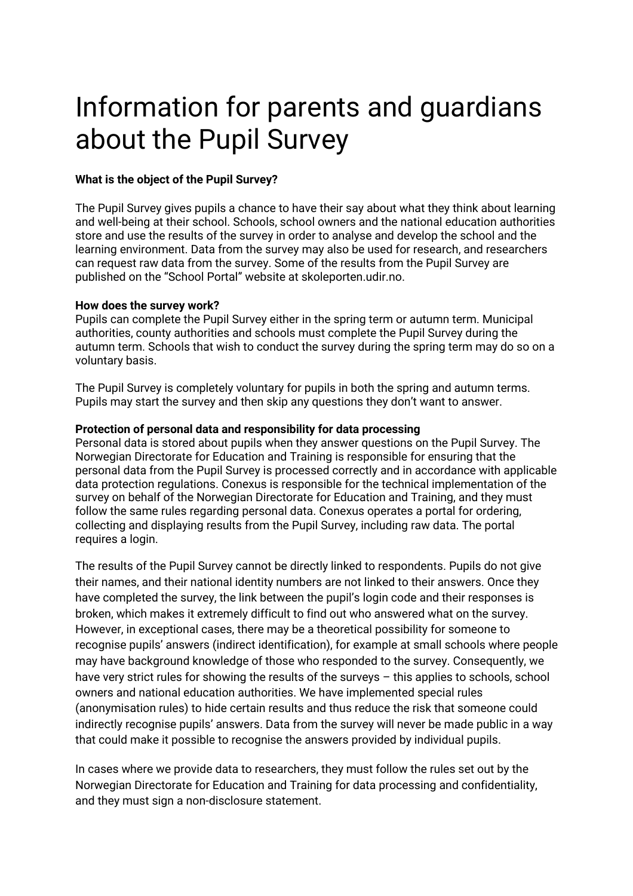# Information for parents and guardians about the Pupil Survey

# **What is the object of the Pupil Survey?**

The Pupil Survey gives pupils a chance to have their say about what they think about learning and well-being at their school. Schools, school owners and the national education authorities store and use the results of the survey in order to analyse and develop the school and the learning environment. Data from the survey may also be used for research, and researchers can request raw data from the survey. Some of the results from the Pupil Survey are published on the "School Portal" website at skoleporten.udir.no.

## **How does the survey work?**

Pupils can complete the Pupil Survey either in the spring term or autumn term. Municipal authorities, county authorities and schools must complete the Pupil Survey during the autumn term. Schools that wish to conduct the survey during the spring term may do so on a voluntary basis.

The Pupil Survey is completely voluntary for pupils in both the spring and autumn terms. Pupils may start the survey and then skip any questions they don't want to answer.

## **Protection of personal data and responsibility for data processing**

Personal data is stored about pupils when they answer questions on the Pupil Survey. The Norwegian Directorate for Education and Training is responsible for ensuring that the personal data from the Pupil Survey is processed correctly and in accordance with applicable data protection regulations. Conexus is responsible for the technical implementation of the survey on behalf of the Norwegian Directorate for Education and Training, and they must follow the same rules regarding personal data. Conexus operates a portal for ordering, collecting and displaying results from the Pupil Survey, including raw data. The portal requires a login.

The results of the Pupil Survey cannot be directly linked to respondents. Pupils do not give their names, and their national identity numbers are not linked to their answers. Once they have completed the survey, the link between the pupil's login code and their responses is broken, which makes it extremely difficult to find out who answered what on the survey. However, in exceptional cases, there may be a theoretical possibility for someone to recognise pupils' answers (indirect identification), for example at small schools where people may have background knowledge of those who responded to the survey. Consequently, we have very strict rules for showing the results of the surveys - this applies to schools, school owners and national education authorities. We have implemented special rules (anonymisation rules) to hide certain results and thus reduce the risk that someone could indirectly recognise pupils' answers. Data from the survey will never be made public in a way that could make it possible to recognise the answers provided by individual pupils.

In cases where we provide data to researchers, they must follow the rules set out by the Norwegian Directorate for Education and Training for data processing and confidentiality, and they must sign a non-disclosure statement.